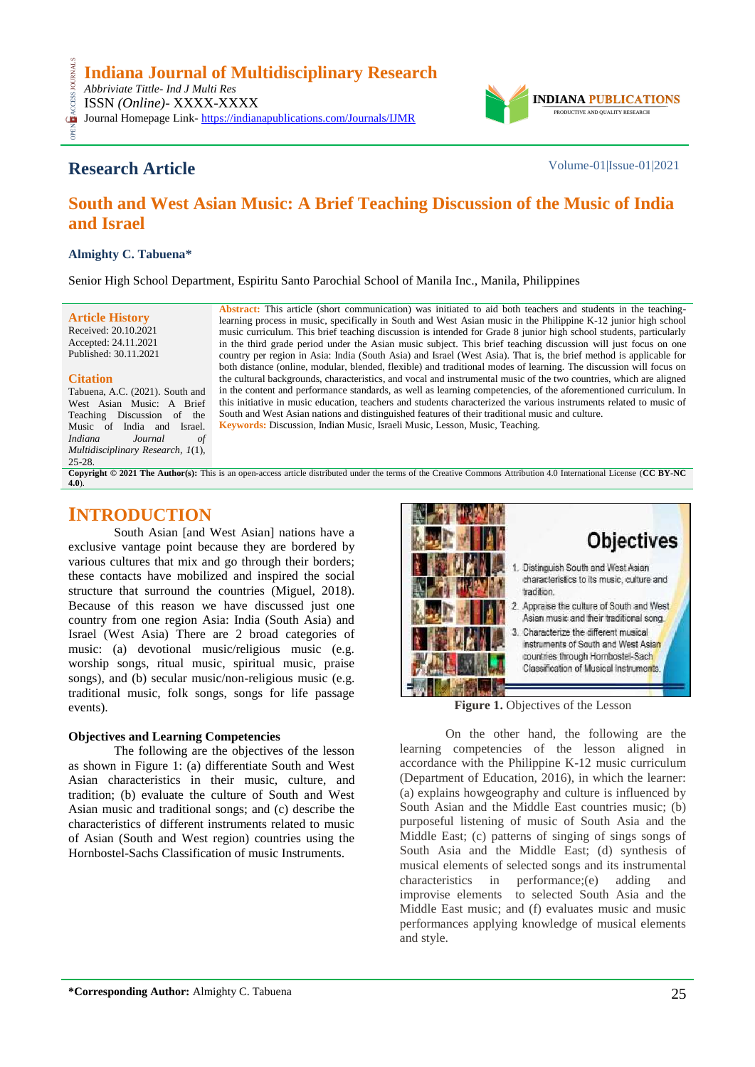

# **Research Article** Volume-01|Issue-01|2021

# **South and West Asian Music: A Brief Teaching Discussion of the Music of India and Israel**

### **Almighty C. Tabuena\***

Senior High School Department, Espiritu Santo Parochial School of Manila Inc., Manila, Philippines

### **Article History**

Received: 20.10.2021 Accepted: 24.11.2021 Published: 30.11.2021

#### **Citation**

CESS

Tabuena, A.C. (2021). South and West Asian Music: A Brief Teaching Discussion of the Music of India and Israel.<br>*Indiana Journal of Iournal of Multidisciplinary Research, 1*(1), 25-28.

**Abstract:** This article (short communication) was initiated to aid both teachers and students in the teachinglearning process in music, specifically in South and West Asian music in the Philippine K-12 junior high school music curriculum. This brief teaching discussion is intended for Grade 8 junior high school students, particularly in the third grade period under the Asian music subject. This brief teaching discussion will just focus on one country per region in Asia: India (South Asia) and Israel (West Asia). That is, the brief method is applicable for both distance (online, modular, blended, flexible) and traditional modes of learning. The discussion will focus on the cultural backgrounds, characteristics, and vocal and instrumental music of the two countries, which are aligned in the content and performance standards, as well as learning competencies, of the aforementioned curriculum. In this initiative in music education, teachers and students characterized the various instruments related to music of South and West Asian nations and distinguished features of their traditional music and culture*.* **Keywords:** Discussion, Indian Music, Israeli Music, Lesson, Music, Teaching*.*

**Copyright © 2021 The Author(s):** This is an open-access article distributed under the terms of the Creative Commons Attribution 4.0 International License (**[CC BY-NC](https://creativecommons.org/licenses/by-nc/4.0/)  [4.0](https://creativecommons.org/licenses/by-nc/4.0/)**).

## **INTRODUCTION**

South Asian [and West Asian] nations have a exclusive vantage point because they are bordered by various cultures that mix and go through their borders; these contacts have mobilized and inspired the social structure that surround the countries (Miguel, 2018). Because of this reason we have discussed just one country from one region Asia: India (South Asia) and Israel (West Asia) There are 2 broad categories of music: (a) devotional music/religious music (e.g. worship songs, ritual music, spiritual music, praise songs), and (b) secular music/non-religious music (e.g. traditional music, folk songs, songs for life passage events).

### **Objectives and Learning Competencies**

The following are the objectives of the lesson as shown in Figure 1: (a) differentiate South and West Asian characteristics in their music, culture, and tradition; (b) evaluate the culture of South and West Asian music and traditional songs; and (c) describe the characteristics of different instruments related to music of Asian (South and West region) countries using the Hornbostel-Sachs Classification of music Instruments.



**Figure 1.** Objectives of the Lesson

On the other hand, the following are the learning competencies of the lesson aligned in accordance with the Philippine K-12 music curriculum (Department of Education, 2016), in which the learner: (a) explains howgeography and culture is influenced by South Asian and the Middle East countries music; (b) purposeful listening of music of South Asia and the Middle East; (c) patterns of singing of sings songs of South Asia and the Middle East; (d) synthesis of musical elements of selected songs and its instrumental characteristics in performance;(e) adding and improvise elements to selected South Asia and the Middle East music; and (f) evaluates music and music performances applying knowledge of musical elements and style.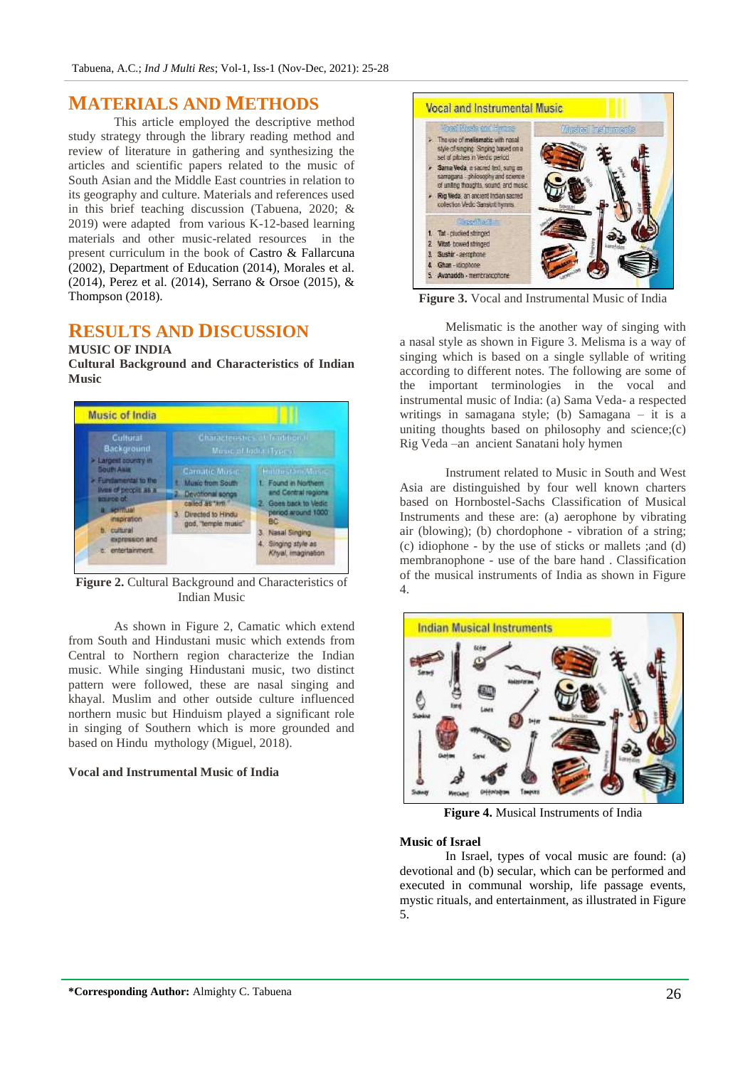### **MATERIALS AND METHODS**

This article employed the descriptive method study strategy through the library reading method and review of literature in gathering and synthesizing the articles and scientific papers related to the music of South Asian and the Middle East countries in relation to its geography and culture. Materials and references used in this brief teaching discussion (Tabuena, 2020; & 2019) were adapted from various K-12-based learning materials and other music-related resources in the present curriculum in the book of Castro & Fallarcuna (2002), Department of Education (2014), Morales et al. (2014), Perez et al. (2014), Serrano & Orsoe (2015), & Thompson (2018).

## **RESULTS AND DISCUSSION**

### **MUSIC OF INDIA**

**Cultural Background and Characteristics of Indian Music**



**Figure 2.** Cultural Background and Characteristics of Indian Music

As shown in Figure 2, Camatic which extend from South and Hindustani music which extends from Central to Northern region characterize the Indian music. While singing Hindustani music, two distinct pattern were followed, these are nasal singing and khayal. Muslim and other outside culture influenced northern music but Hinduism played a significant role in singing of Southern which is more grounded and based on Hindu mythology (Miguel, 2018).

### **Vocal and Instrumental Music of India**



**Figure 3.** Vocal and Instrumental Music of India

Melismatic is the another way of singing with a nasal style as shown in Figure 3. Melisma is a way of singing which is based on a single syllable of writing according to different notes. The following are some of the important terminologies in the vocal and instrumental music of India: (a) Sama Veda- a respected writings in samagana style; (b) Samagana – it is a uniting thoughts based on philosophy and science;(c) Rig Veda –an ancient Sanatani holy hymen

Instrument related to Music in South and West Asia are distinguished by four well known charters based on Hornbostel-Sachs Classification of Musical Instruments and these are: (a) aerophone by vibrating air (blowing); (b) chordophone - vibration of a string; (c) idiophone - by the use of sticks or mallets ;and (d) membranophone - use of the bare hand . Classification of the musical instruments of India as shown in Figure 4.



**Figure 4.** Musical Instruments of India

### **Music of Israel**

In Israel, types of vocal music are found: (a) devotional and (b) secular, which can be performed and executed in communal worship, life passage events, mystic rituals, and entertainment, as illustrated in Figure 5.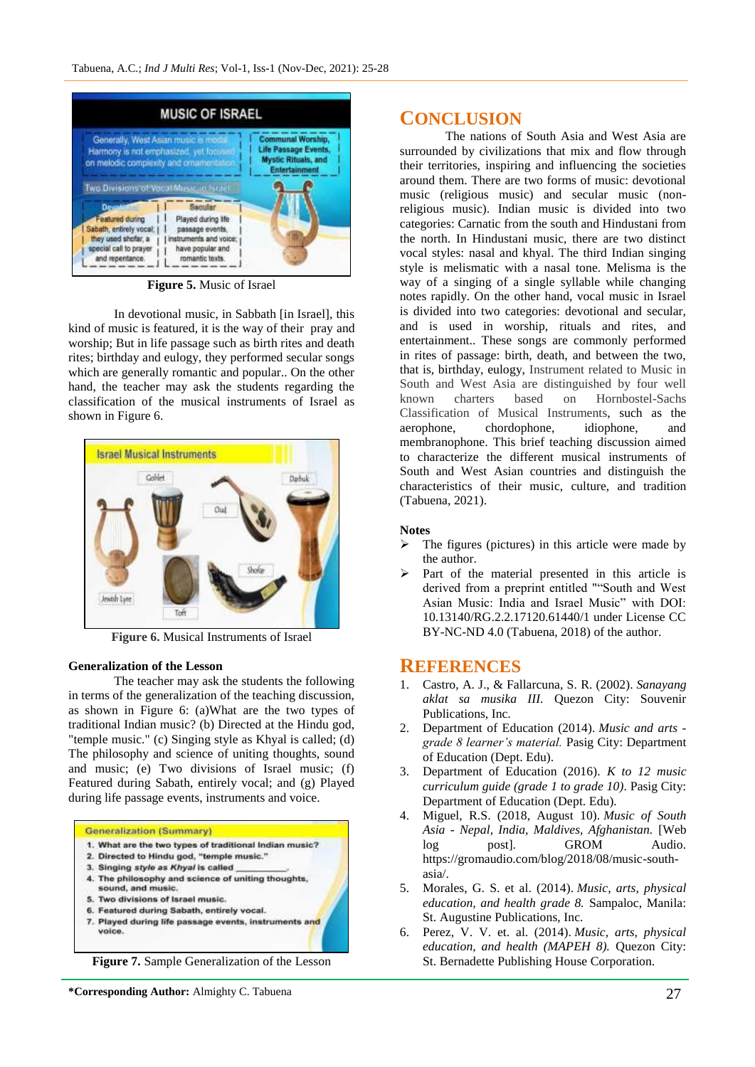

**Figure 5.** Music of Israel

In devotional music, in Sabbath [in Israel], this kind of music is featured, it is the way of their pray and worship; But in life passage such as birth rites and death rites; birthday and eulogy, they performed secular songs which are generally romantic and popular.. On the other hand, the teacher may ask the students regarding the classification of the musical instruments of Israel as shown in Figure 6.



**Figure 6.** Musical Instruments of Israel

#### **Generalization of the Lesson**

The teacher may ask the students the following in terms of the generalization of the teaching discussion, as shown in Figure 6: (a)What are the two types of traditional Indian music? (b) Directed at the Hindu god, "temple music." (c) Singing style as Khyal is called; (d) The philosophy and science of uniting thoughts, sound and music; (e) Two divisions of Israel music; (f) Featured during Sabath, entirely vocal; and (g) Played during life passage events, instruments and voice.



- 1. What are the two types of traditional Indian music?
- 2. Directed to Hindu god, "temple music."
- 3. Singing style as Khyal is called
- 4. The philosophy and science of uniting thoughts,
- sound, and music.
- 5. Two divisions of Israel music.
- 6. Featured during Sabath, entirely vocal. 7. Played during life passage events, instruments and voice

**Figure 7.** Sample Generalization of the Lesson

### **CONCLUSION**

The nations of South Asia and West Asia are surrounded by civilizations that mix and flow through their territories, inspiring and influencing the societies around them. There are two forms of music: devotional music (religious music) and secular music (nonreligious music). Indian music is divided into two categories: Carnatic from the south and Hindustani from the north. In Hindustani music, there are two distinct vocal styles: nasal and khyal. The third Indian singing style is melismatic with a nasal tone. Melisma is the way of a singing of a single syllable while changing notes rapidly. On the other hand, vocal music in Israel is divided into two categories: devotional and secular, and is used in worship, rituals and rites, and entertainment.. These songs are commonly performed in rites of passage: birth, death, and between the two, that is, birthday, eulogy, Instrument related to Music in South and West Asia are distinguished by four well known charters based on Hornbostel-Sachs Classification of Musical Instruments, such as the aerophone, chordophone, idiophone, and membranophone. This brief teaching discussion aimed to characterize the different musical instruments of South and West Asian countries and distinguish the characteristics of their music, culture, and tradition (Tabuena, 2021).

#### **Notes**

- $\triangleright$  The figures (pictures) in this article were made by the author.
- Part of the material presented in this article is derived from a preprint entitled ""South and West Asian Music: India and Israel Music" with DOI: 10.13140/RG.2.2.17120.61440/1 under License CC BY-NC-ND 4.0 (Tabuena, 2018) of the author.

### **REFERENCES**

- 1. Castro, A. J., & Fallarcuna, S. R. (2002). *Sanayang aklat sa musika III.* Quezon City: Souvenir Publications, Inc.
- 2. Department of Education (2014). *Music and arts grade 8 learner's material.* Pasig City: Department of Education (Dept. Edu).
- 3. Department of Education (2016). *K to 12 music curriculum guide (grade 1 to grade 10)*. Pasig City: Department of Education (Dept. Edu).
- 4. Miguel, R.S. (2018, August 10). *Music of South Asia - Nepal, India, Maldives, Afghanistan.* [Web log post]. GROM Audio. https://gromaudio.com/blog/2018/08/music-southasia/.
- 5. Morales, G. S. et al. (2014). *Music, arts, physical education, and health grade 8.* Sampaloc, Manila: St. Augustine Publications, Inc.
- 6. Perez, V. V. et. al. (2014). *Music, arts, physical education, and health (MAPEH 8).* Quezon City: St. Bernadette Publishing House Corporation.